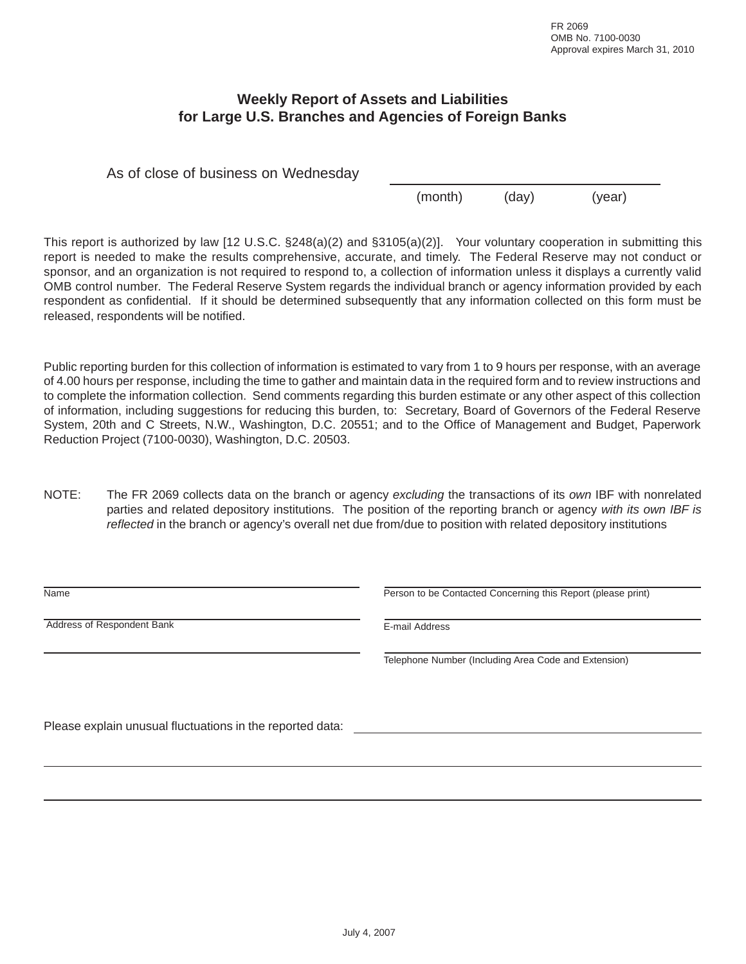## **Weekly Report of Assets and Liabilities for Large U.S. Branches and Agencies of Foreign Banks**

As of close of business on Wednesday

(month) (day) (year)

This report is authorized by law [12 U.S.C. §248(a)(2) and §3105(a)(2)]. Your voluntary cooperation in submitting this report is needed to make the results comprehensive, accurate, and timely. The Federal Reserve may not conduct or sponsor, and an organization is not required to respond to, a collection of information unless it displays a currently valid OMB control number. The Federal Reserve System regards the individual branch or agency information provided by each respondent as confidential. If it should be determined subsequently that any information collected on this form must be released, respondents will be notified.

Public reporting burden for this collection of information is estimated to vary from 1 to 9 hours per response, with an average of 4.00 hours per response, including the time to gather and maintain data in the required form and to review instructions and to complete the information collection. Send comments regarding this burden estimate or any other aspect of this collection of information, including suggestions for reducing this burden, to: Secretary, Board of Governors of the Federal Reserve System, 20th and C Streets, N.W., Washington, D.C. 20551; and to the Office of Management and Budget, Paperwork Reduction Project (7100-0030), Washington, D.C. 20503.

NOTE: The FR 2069 collects data on the branch or agency *excluding* the transactions of its *own* IBF with nonrelated parties and related depository institutions. The position of the reporting branch or agency *with its own IBF is reflected* in the branch or agency's overall net due from/due to position with related depository institutions

| Name                                                      | Person to be Contacted Concerning this Report (please print) |  |  |  |  |
|-----------------------------------------------------------|--------------------------------------------------------------|--|--|--|--|
| Address of Respondent Bank                                | E-mail Address                                               |  |  |  |  |
|                                                           | Telephone Number (Including Area Code and Extension)         |  |  |  |  |
| Please explain unusual fluctuations in the reported data: |                                                              |  |  |  |  |